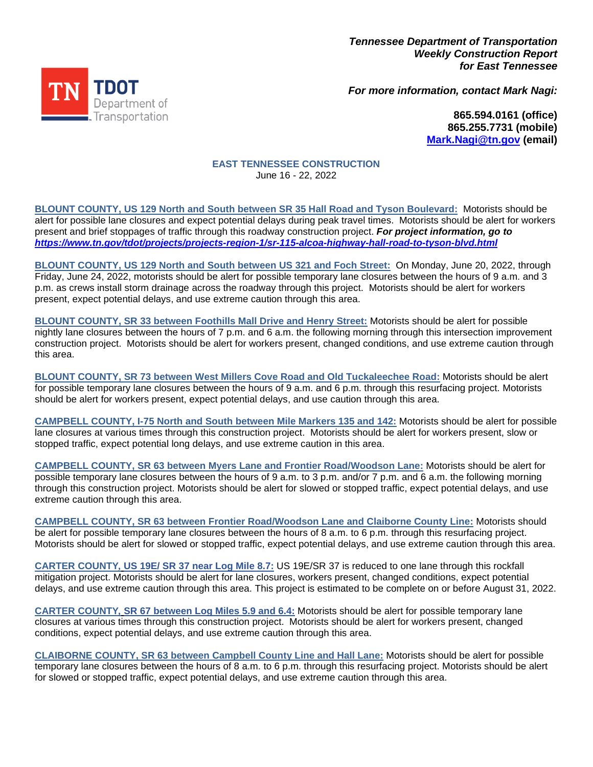*Tennessee Department of Transportation Weekly Construction Report for East Tennessee*

TN TDOT Fueuration

*For more information, contact Mark Nagi:*

**865.594.0161 (office) 865.255.7731 (mobile) [Mark.Nagi@tn.gov](mailto:Mark.Nagi@tn.gov) (email)**

## **EAST TENNESSEE CONSTRUCTION** June 16 - 22, 2022

**BLOUNT COUNTY, US 129 North and South between SR 35 Hall Road and Tyson Boulevard:** Motorists should be alert for possible lane closures and expect potential delays during peak travel times. Motorists should be alert for workers present and brief stoppages of traffic through this roadway construction project. *For project information, go to <https://www.tn.gov/tdot/projects/projects-region-1/sr-115-alcoa-highway-hall-road-to-tyson-blvd.html>*

**BLOUNT COUNTY, US 129 North and South between US 321 and Foch Street:** On Monday, June 20, 2022, through Friday, June 24, 2022, motorists should be alert for possible temporary lane closures between the hours of 9 a.m. and 3 p.m. as crews install storm drainage across the roadway through this project. Motorists should be alert for workers present, expect potential delays, and use extreme caution through this area.

**BLOUNT COUNTY, SR 33 between Foothills Mall Drive and Henry Street:** Motorists should be alert for possible nightly lane closures between the hours of 7 p.m. and 6 a.m. the following morning through this intersection improvement construction project. Motorists should be alert for workers present, changed conditions, and use extreme caution through this area.

**BLOUNT COUNTY, SR 73 between West Millers Cove Road and Old Tuckaleechee Road:** Motorists should be alert for possible temporary lane closures between the hours of 9 a.m. and 6 p.m. through this resurfacing project. Motorists should be alert for workers present, expect potential delays, and use caution through this area.

**CAMPBELL COUNTY, I-75 North and South between Mile Markers 135 and 142:** Motorists should be alert for possible lane closures at various times through this construction project. Motorists should be alert for workers present, slow or stopped traffic, expect potential long delays, and use extreme caution in this area.

**CAMPBELL COUNTY, SR 63 between Myers Lane and Frontier Road/Woodson Lane:** Motorists should be alert for possible temporary lane closures between the hours of 9 a.m. to 3 p.m. and/or 7 p.m. and 6 a.m. the following morning through this construction project. Motorists should be alert for slowed or stopped traffic, expect potential delays, and use extreme caution through this area.

**CAMPBELL COUNTY, SR 63 between Frontier Road/Woodson Lane and Claiborne County Line:** Motorists should be alert for possible temporary lane closures between the hours of 8 a.m. to 6 p.m. through this resurfacing project. Motorists should be alert for slowed or stopped traffic, expect potential delays, and use extreme caution through this area.

**CARTER COUNTY***,* **US 19E/ SR 37 near Log Mile 8.7:** US 19E/SR 37 is reduced to one lane through this rockfall mitigation project. Motorists should be alert for lane closures, workers present, changed conditions, expect potential delays, and use extreme caution through this area. This project is estimated to be complete on or before August 31, 2022.

**CARTER COUNTY***,* **SR 67 between Log Miles 5.9 and 6.4:** Motorists should be alert for possible temporary lane closures at various times through this construction project. Motorists should be alert for workers present, changed conditions, expect potential delays, and use extreme caution through this area.

**CLAIBORNE COUNTY, SR 63 between Campbell County Line and Hall Lane:** Motorists should be alert for possible temporary lane closures between the hours of 8 a.m. to 6 p.m. through this resurfacing project. Motorists should be alert for slowed or stopped traffic, expect potential delays, and use extreme caution through this area.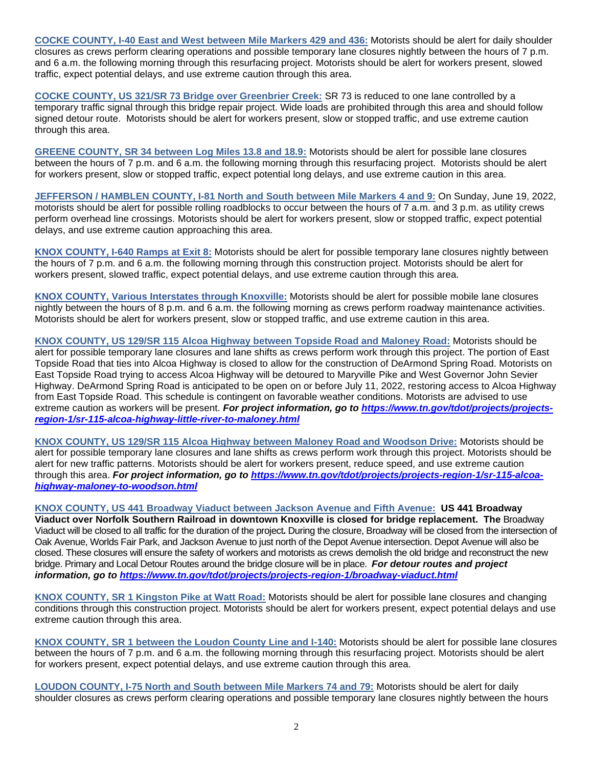**COCKE COUNTY, I-40 East and West between Mile Markers 429 and 436:** Motorists should be alert for daily shoulder closures as crews perform clearing operations and possible temporary lane closures nightly between the hours of 7 p.m. and 6 a.m. the following morning through this resurfacing project. Motorists should be alert for workers present, slowed traffic, expect potential delays, and use extreme caution through this area.

**COCKE COUNTY, US 321/SR 73 Bridge over Greenbrier Creek:** SR 73 is reduced to one lane controlled by a temporary traffic signal through this bridge repair project. Wide loads are prohibited through this area and should follow signed detour route. Motorists should be alert for workers present, slow or stopped traffic, and use extreme caution through this area.

**GREENE COUNTY, SR 34 between Log Miles 13.8 and 18.9:** Motorists should be alert for possible lane closures between the hours of 7 p.m. and 6 a.m. the following morning through this resurfacing project. Motorists should be alert for workers present, slow or stopped traffic, expect potential long delays, and use extreme caution in this area.

**JEFFERSON / HAMBLEN COUNTY, I-81 North and South between Mile Markers 4 and 9:** On Sunday, June 19, 2022, motorists should be alert for possible rolling roadblocks to occur between the hours of 7 a.m. and 3 p.m. as utility crews perform overhead line crossings. Motorists should be alert for workers present, slow or stopped traffic, expect potential delays, and use extreme caution approaching this area.

**KNOX COUNTY, I-640 Ramps at Exit 8:** Motorists should be alert for possible temporary lane closures nightly between the hours of 7 p.m. and 6 a.m. the following morning through this construction project. Motorists should be alert for workers present, slowed traffic, expect potential delays, and use extreme caution through this area.

**KNOX COUNTY, Various Interstates through Knoxville:** Motorists should be alert for possible mobile lane closures nightly between the hours of 8 p.m. and 6 a.m. the following morning as crews perform roadway maintenance activities. Motorists should be alert for workers present, slow or stopped traffic, and use extreme caution in this area.

**KNOX COUNTY, US 129/SR 115 Alcoa Highway between Topside Road and Maloney Road:** Motorists should be alert for possible temporary lane closures and lane shifts as crews perform work through this project. The portion of East Topside Road that ties into Alcoa Highway is closed to allow for the construction of DeArmond Spring Road. Motorists on East Topside Road trying to access Alcoa Highway will be detoured to Maryville Pike and West Governor John Sevier Highway. DeArmond Spring Road is anticipated to be open on or before July 11, 2022, restoring access to Alcoa Highway from East Topside Road. This schedule is contingent on favorable weather conditions. Motorists are advised to use extreme caution as workers will be present. *For project information, go to [https://www.tn.gov/tdot/projects/projects](https://www.tn.gov/tdot/projects/projects-region-1/sr-115-alcoa-highway-little-river-to-maloney.html)[region-1/sr-115-alcoa-highway-little-river-to-maloney.html](https://www.tn.gov/tdot/projects/projects-region-1/sr-115-alcoa-highway-little-river-to-maloney.html)*

**KNOX COUNTY, US 129/SR 115 Alcoa Highway between Maloney Road and Woodson Drive:** Motorists should be alert for possible temporary lane closures and lane shifts as crews perform work through this project. Motorists should be alert for new traffic patterns. Motorists should be alert for workers present, reduce speed, and use extreme caution through this area. *For project information, go to [https://www.tn.gov/tdot/projects/projects-region-1/sr-115-alcoa](https://www.tn.gov/tdot/projects/projects-region-1/sr-115-alcoa-highway-maloney-to-woodson.html)[highway-maloney-to-woodson.html](https://www.tn.gov/tdot/projects/projects-region-1/sr-115-alcoa-highway-maloney-to-woodson.html)*

**KNOX COUNTY, US 441 Broadway Viaduct between Jackson Avenue and Fifth Avenue: US 441 Broadway Viaduct over Norfolk Southern Railroad in downtown Knoxville is closed for bridge replacement. The** Broadway Viaduct will be closed to all traffic for the duration of the project**.** During the closure, Broadway will be closed from the intersection of Oak Avenue, Worlds Fair Park, and Jackson Avenue to just north of the Depot Avenue intersection. Depot Avenue will also be closed. These closures will ensure the safety of workers and motorists as crews demolish the old bridge and reconstruct the new bridge. Primary and Local Detour Routes around the bridge closure will be in place. *For detour routes and project information, go to <https://www.tn.gov/tdot/projects/projects-region-1/broadway-viaduct.html>*

**KNOX COUNTY, SR 1 Kingston Pike at Watt Road:** Motorists should be alert for possible lane closures and changing conditions through this construction project. Motorists should be alert for workers present, expect potential delays and use extreme caution through this area.

**KNOX COUNTY, SR 1 between the Loudon County Line and I-140:** Motorists should be alert for possible lane closures between the hours of 7 p.m. and 6 a.m. the following morning through this resurfacing project. Motorists should be alert for workers present, expect potential delays, and use extreme caution through this area.

**LOUDON COUNTY, I-75 North and South between Mile Markers 74 and 79:** Motorists should be alert for daily shoulder closures as crews perform clearing operations and possible temporary lane closures nightly between the hours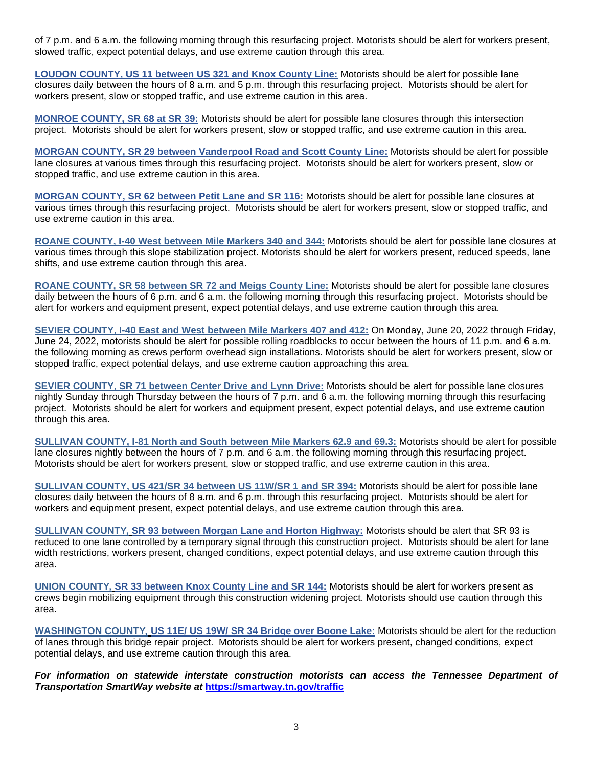of 7 p.m. and 6 a.m. the following morning through this resurfacing project. Motorists should be alert for workers present, slowed traffic, expect potential delays, and use extreme caution through this area.

**LOUDON COUNTY, US 11 between US 321 and Knox County Line:** Motorists should be alert for possible lane closures daily between the hours of 8 a.m. and 5 p.m. through this resurfacing project. Motorists should be alert for workers present, slow or stopped traffic, and use extreme caution in this area.

**MONROE COUNTY, SR 68 at SR 39:** Motorists should be alert for possible lane closures through this intersection project. Motorists should be alert for workers present, slow or stopped traffic, and use extreme caution in this area.

**MORGAN COUNTY, SR 29 between Vanderpool Road and Scott County Line:** Motorists should be alert for possible lane closures at various times through this resurfacing project. Motorists should be alert for workers present, slow or stopped traffic, and use extreme caution in this area.

**MORGAN COUNTY, SR 62 between Petit Lane and SR 116:** Motorists should be alert for possible lane closures at various times through this resurfacing project. Motorists should be alert for workers present, slow or stopped traffic, and use extreme caution in this area.

**ROANE COUNTY, I-40 West between Mile Markers 340 and 344:** Motorists should be alert for possible lane closures at various times through this slope stabilization project. Motorists should be alert for workers present, reduced speeds, lane shifts, and use extreme caution through this area.

**ROANE COUNTY, SR 58 between SR 72 and Meigs County Line:** Motorists should be alert for possible lane closures daily between the hours of 6 p.m. and 6 a.m. the following morning through this resurfacing project. Motorists should be alert for workers and equipment present, expect potential delays, and use extreme caution through this area.

**SEVIER COUNTY, I-40 East and West between Mile Markers 407 and 412:** On Monday, June 20, 2022 through Friday, June 24, 2022, motorists should be alert for possible rolling roadblocks to occur between the hours of 11 p.m. and 6 a.m. the following morning as crews perform overhead sign installations. Motorists should be alert for workers present, slow or stopped traffic, expect potential delays, and use extreme caution approaching this area.

**SEVIER COUNTY, SR 71 between Center Drive and Lynn Drive:** Motorists should be alert for possible lane closures nightly Sunday through Thursday between the hours of 7 p.m. and 6 a.m. the following morning through this resurfacing project. Motorists should be alert for workers and equipment present, expect potential delays, and use extreme caution through this area.

**SULLIVAN COUNTY, I-81 North and South between Mile Markers 62.9 and 69.3:** Motorists should be alert for possible lane closures nightly between the hours of 7 p.m. and 6 a.m. the following morning through this resurfacing project. Motorists should be alert for workers present, slow or stopped traffic, and use extreme caution in this area.

**SULLIVAN COUNTY, US 421/SR 34 between US 11W/SR 1 and SR 394:** Motorists should be alert for possible lane closures daily between the hours of 8 a.m. and 6 p.m. through this resurfacing project. Motorists should be alert for workers and equipment present, expect potential delays, and use extreme caution through this area.

**SULLIVAN COUNTY***,* **SR 93 between Morgan Lane and Horton Highway:** Motorists should be alert that SR 93 is reduced to one lane controlled by a temporary signal through this construction project. Motorists should be alert for lane width restrictions, workers present, changed conditions, expect potential delays, and use extreme caution through this area.

**UNION COUNTY***,* **SR 33 between Knox County Line and SR 144:** Motorists should be alert for workers present as crews begin mobilizing equipment through this construction widening project. Motorists should use caution through this area.

**WASHINGTON COUNTY***,* **US 11E/ US 19W/ SR 34 Bridge over Boone Lake:** Motorists should be alert for the reduction of lanes through this bridge repair project. Motorists should be alert for workers present, changed conditions, expect potential delays, and use extreme caution through this area.

*For information on statewide interstate construction motorists can access the Tennessee Department of Transportation SmartWay website at* **<https://smartway.tn.gov/traffic>**